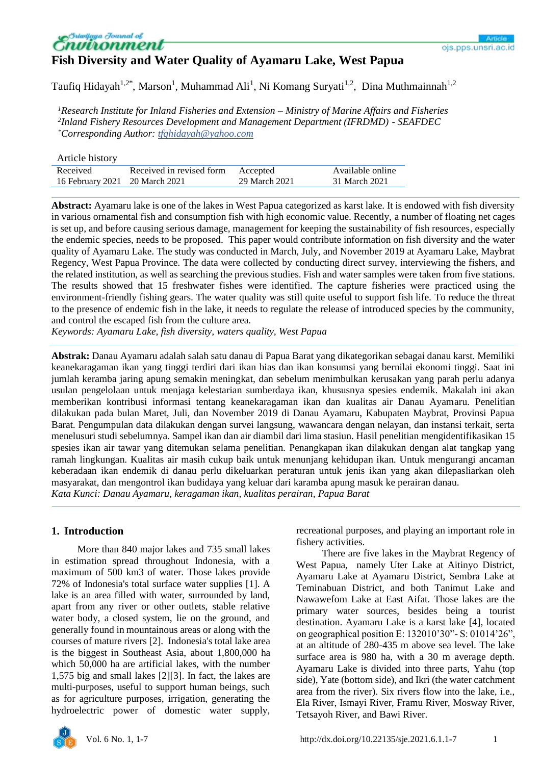

# **Fish Diversity and Water Quality of Ayamaru Lake, West Papua**

Taufiq Hidayah<sup>1,2\*</sup>, Marson<sup>1</sup>, Muhammad Ali<sup>1</sup>, Ni Komang Suryati<sup>1,2</sup>, Dina Muthmainnah<sup>1,2</sup>

*<sup>1</sup>Research Institute for Inland Fisheries and Extension – Ministry of Marine Affairs and Fisheries 2 Inland Fishery Resources Development and Management Department (IFRDMD) - SEAFDEC \*Corresponding Author: tfqhidayah@yahoo.com*

| Article history                |                          |               |                  |
|--------------------------------|--------------------------|---------------|------------------|
| Received                       | Received in revised form | Accepted      | Available online |
| 16 February 2021 20 March 2021 |                          | 29 March 2021 | 31 March 2021    |

**Abstract:** Ayamaru lake is one of the lakes in West Papua categorized as karst lake. It is endowed with fish diversity in various ornamental fish and consumption fish with high economic value. Recently, a number of floating net cages is set up, and before causing serious damage, management for keeping the sustainability of fish resources, especially the endemic species, needs to be proposed. This paper would contribute information on fish diversity and the water quality of Ayamaru Lake. The study was conducted in March, July, and November 2019 at Ayamaru Lake, Maybrat Regency, West Papua Province. The data were collected by conducting direct survey, interviewing the fishers, and the related institution, as well as searching the previous studies. Fish and water samples were taken from five stations. The results showed that 15 freshwater fishes were identified. The capture fisheries were practiced using the environment-friendly fishing gears. The water quality was still quite useful to support fish life. To reduce the threat to the presence of endemic fish in the lake, it needs to regulate the release of introduced species by the community, and control the escaped fish from the culture area.

*Keywords: Ayamaru Lake, fish diversity, waters quality, West Papua*

**Abstrak:** Danau Ayamaru adalah salah satu danau di Papua Barat yang dikategorikan sebagai danau karst. Memiliki keanekaragaman ikan yang tinggi terdiri dari ikan hias dan ikan konsumsi yang bernilai ekonomi tinggi. Saat ini jumlah keramba jaring apung semakin meningkat, dan sebelum menimbulkan kerusakan yang parah perlu adanya usulan pengelolaan untuk menjaga kelestarian sumberdaya ikan, khususnya spesies endemik. Makalah ini akan memberikan kontribusi informasi tentang keanekaragaman ikan dan kualitas air Danau Ayamaru. Penelitian dilakukan pada bulan Maret, Juli, dan November 2019 di Danau Ayamaru, Kabupaten Maybrat, Provinsi Papua Barat. Pengumpulan data dilakukan dengan survei langsung, wawancara dengan nelayan, dan instansi terkait, serta menelusuri studi sebelumnya. Sampel ikan dan air diambil dari lima stasiun. Hasil penelitian mengidentifikasikan 15 spesies ikan air tawar yang ditemukan selama penelitian. Penangkapan ikan dilakukan dengan alat tangkap yang ramah lingkungan. Kualitas air masih cukup baik untuk menunjang kehidupan ikan. Untuk mengurangi ancaman keberadaan ikan endemik di danau perlu dikeluarkan peraturan untuk jenis ikan yang akan dilepasliarkan oleh masyarakat, dan mengontrol ikan budidaya yang keluar dari karamba apung masuk ke perairan danau. *Kata Kunci: Danau Ayamaru, keragaman ikan, kualitas perairan, Papua Barat*

# **1. Introduction**

More than 840 major lakes and 735 small lakes in estimation spread throughout Indonesia, with a maximum of 500 km3 of water. Those lakes provide 72% of Indonesia's total surface water supplies [1]. A lake is an area filled with water, surrounded by land, apart from any river or other outlets, stable relative water body, a closed system, lie on the ground, and generally found in mountainous areas or along with the courses of mature rivers [2]. Indonesia's total lake area is the biggest in Southeast Asia, about 1,800,000 ha which 50,000 ha are artificial lakes, with the number 1,575 big and small lakes [2][3]. In fact, the lakes are multi-purposes, useful to support human beings, such as for agriculture purposes, irrigation, generating the hydroelectric power of domestic water supply,

recreational purposes, and playing an important role in fishery activities.

There are five lakes in the Maybrat Regency of West Papua, namely Uter Lake at Aitinyo District, Ayamaru Lake at Ayamaru District, Sembra Lake at Teminabuan District, and both Tanimut Lake and Nawawefom Lake at East Aifat. Those lakes are the primary water sources, besides being a tourist destination. Ayamaru Lake is a karst lake [4], located on geographical position E: 132010'30"- S: 01014'26", at an altitude of 280-435 m above sea level. The lake surface area is 980 ha, with a 30 m average depth. Ayamaru Lake is divided into three parts, Yahu (top side), Yate (bottom side), and Ikri (the water catchment area from the river). Six rivers flow into the lake, i.e., Ela River, Ismayi River, Framu River, Mosway River, Tetsayoh River, and Bawi River.

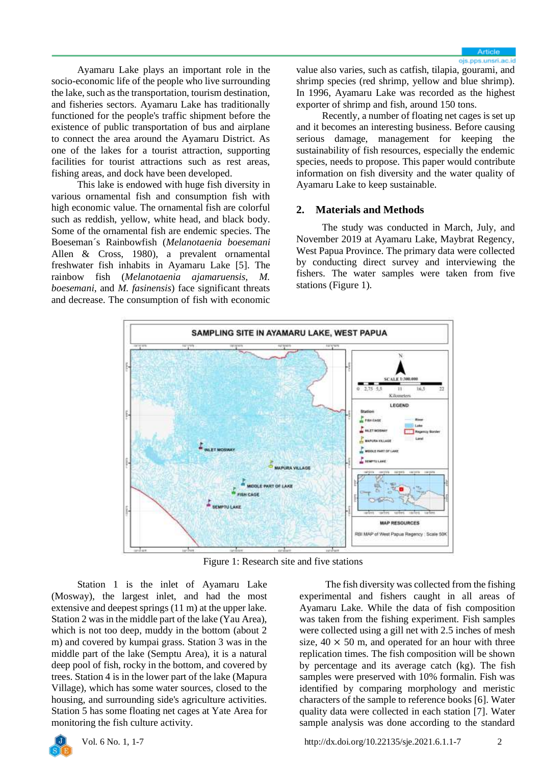Ayamaru Lake plays an important role in the socio-economic life of the people who live surrounding the lake, such as the transportation, tourism destination, and fisheries sectors. Ayamaru Lake has traditionally functioned for the people's traffic shipment before the existence of public transportation of bus and airplane to connect the area around the Ayamaru District. As one of the lakes for a tourist attraction, supporting facilities for tourist attractions such as rest areas, fishing areas, and dock have been developed.

This lake is endowed with huge fish diversity in various ornamental fish and consumption fish with high economic value. The ornamental fish are colorful such as reddish, yellow, white head, and black body. Some of the ornamental fish are endemic species. The Boeseman´s Rainbowfish (*Melanotaenia boesemani* Allen & Cross, 1980), a prevalent ornamental freshwater fish inhabits in Ayamaru Lake [5]. The rainbow fish (*Melanotaenia ajamaruensis, M. boesemani*, and *M. fasinensis*) face significant threats and decrease. The consumption of fish with economic

value also varies, such as catfish, tilapia, gourami, and shrimp species (red shrimp, yellow and blue shrimp). In 1996, Ayamaru Lake was recorded as the highest exporter of shrimp and fish, around 150 tons.

Recently, a number of floating net cages is set up and it becomes an interesting business. Before causing serious damage, management for keeping the sustainability of fish resources, especially the endemic species, needs to propose. This paper would contribute information on fish diversity and the water quality of Ayamaru Lake to keep sustainable.

### **2. Materials and Methods**

The study was conducted in March, July, and November 2019 at Ayamaru Lake, Maybrat Regency, West Papua Province. The primary data were collected by conducting direct survey and interviewing the fishers. The water samples were taken from five stations (Figure 1).



Figure 1: Research site and five stations

Station 1 is the inlet of Ayamaru Lake (Mosway), the largest inlet, and had the most extensive and deepest springs (11 m) at the upper lake. Station 2 was in the middle part of the lake (Yau Area), which is not too deep, muddy in the bottom (about 2 m) and covered by kumpai grass. Station 3 was in the middle part of the lake (Semptu Area), it is a natural deep pool of fish, rocky in the bottom, and covered by trees. Station 4 is in the lower part of the lake (Mapura Village), which has some water sources, closed to the housing, and surrounding side's agriculture activities. Station 5 has some floating net cages at Yate Area for monitoring the fish culture activity.

The fish diversity was collected from the fishing experimental and fishers caught in all areas of Ayamaru Lake. While the data of fish composition was taken from the fishing experiment. Fish samples were collected using a gill net with 2.5 inches of mesh size,  $40 \times 50$  m, and operated for an hour with three replication times. The fish composition will be shown by percentage and its average catch (kg). The fish samples were preserved with 10% formalin. Fish was identified by comparing morphology and meristic characters of the sample to reference books [6]. Water quality data were collected in each station [7]. Water sample analysis was done according to the standard

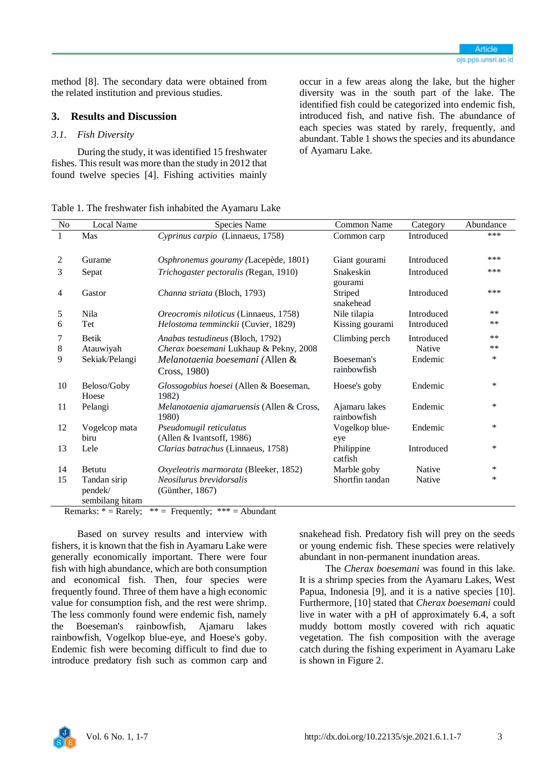method [8]. The secondary data were obtained from the related institution and previous studies.

## **3. Results and Discussion**

#### *3.1. Fish Diversity*

During the study, it was identified 15 freshwater fishes. This result was more than the study in 2012 that found twelve species [4]. Fishing activities mainly

occur in a few areas along the lake, but the higher diversity was in the south part of the lake. The identified fish could be categorized into endemic fish, introduced fish, and native fish. The abundance of each species was stated by rarely, frequently, and abundant. Table 1 shows the species and its abundance of Ayamaru Lake.

Table 1. The freshwater fish inhabited the Ayamaru Lake

| No | <b>Local Name</b>    | Species Name                                       | <b>Common Name</b>           | Category   | Abundance |
|----|----------------------|----------------------------------------------------|------------------------------|------------|-----------|
|    | Mas                  | Cyprinus carpio (Linnaeus, 1758)                   | Common carp                  | Introduced | ***       |
|    |                      |                                                    |                              |            |           |
| 2  | Gurame               | Osphronemus gouramy (Lacepède, 1801)               | Giant gourami                | Introduced | ***       |
| 3  | Sepat                | Trichogaster pectoralis (Regan, 1910)              | Snakeskin<br>gourami         | Introduced | ***       |
| 4  | Gastor               | Channa striata (Bloch, 1793)                       | Striped<br>snakehead         | Introduced | ***       |
| 5  | Nila                 | Oreocromis niloticus (Linnaeus, 1758)              | Nile tilapia                 | Introduced | $***$     |
| 6  | Tet                  | Helostoma temminckii (Cuvier, 1829)                | Kissing gourami              | Introduced | $***$     |
| 7  | <b>Betik</b>         | Anabas testudineus (Bloch, 1792)                   | Climbing perch               | Introduced | $***$     |
| 8  | Atauwiyah            | Cherax boesemani Lukhaup & Pekny, 2008             |                              | Native     | $***$     |
| 9  | Sekiak/Pelangi       | Melanotaenia boesemani (Allen &                    | Boeseman's                   | Endemic    | *         |
|    |                      | Cross, 1980)                                       | rainbowfish                  |            |           |
| 10 | Beloso/Goby<br>Hoese | Glossogobius hoesei (Allen & Boeseman,<br>1982)    | Hoese's goby                 | Endemic    | *         |
| 11 | Pelangi              | Melanotaenia ajamaruensis (Allen & Cross,<br>1980) | Ajamaru lakes<br>rainbowfish | Endemic    | *         |
| 12 | Vogelcop mata        | Pseudomugil reticulatus                            | Vogelkop blue-               | Endemic    | *         |
|    | biru                 | (Allen & Ivantsoff, 1986)                          | eye                          |            |           |
| 13 | Lele                 | Clarias batrachus (Linnaeus, 1758)                 | Philippine<br>catfish        | Introduced | *         |
| 14 | Betutu               | Oxyeleotris marmorata (Bleeker, 1852)              | Marble goby                  | Native     | $\ast$    |
| 15 | Tandan sirip         | Neosilurus brevidorsalis                           | Shortfin tandan              | Native     | *         |
|    | pendek/              | (Günther, 1867)                                    |                              |            |           |
|    | sembilang hitam      | -                                                  |                              |            |           |

Remarks:  $* =$  Rarely;  $** =$  Frequently;  $*** =$  Abundant

Based on survey results and interview with fishers, it is known that the fish in Ayamaru Lake were generally economically important. There were four fish with high abundance, which are both consumption and economical fish. Then, four species were frequently found. Three of them have a high economic value for consumption fish, and the rest were shrimp. The less commonly found were endemic fish, namely the Boeseman's rainbowfish, Ajamaru lakes rainbowfish, Vogelkop blue-eye, and Hoese's goby. Endemic fish were becoming difficult to find due to introduce predatory fish such as common carp and

snakehead fish. Predatory fish will prey on the seeds or young endemic fish. These species were relatively abundant in non-permanent inundation areas.

The *Cherax boesemani* was found in this lake. It is a shrimp species from the Ayamaru Lakes, West Papua, Indonesia [9], and it is a native species [10]. Furthermore, [10] stated that *Cherax boesemani* could live in water with a pH of approximately 6.4, a soft muddy bottom mostly covered with rich aquatic vegetation. The fish composition with the average catch during the fishing experiment in Ayamaru Lake is shown in Figure 2.

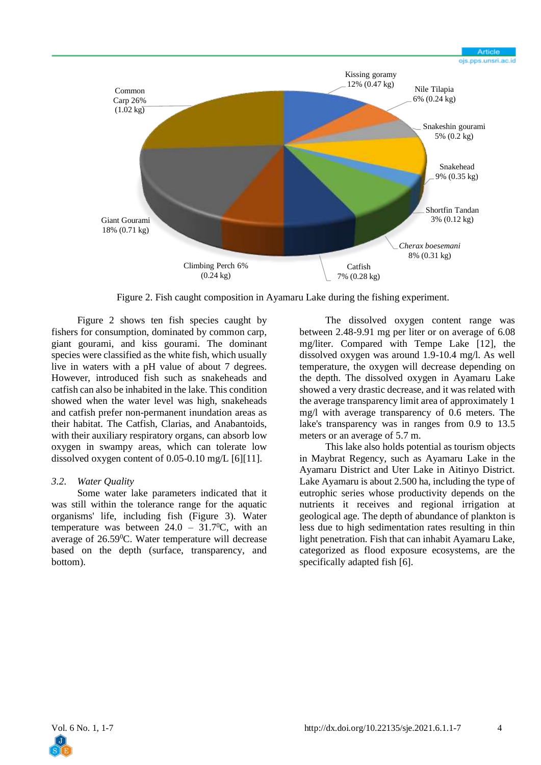

Figure 2. Fish caught composition in Ayamaru Lake during the fishing experiment.

Figure 2 shows ten fish species caught by fishers for consumption, dominated by common carp, giant gourami, and kiss gourami. The dominant species were classified as the white fish, which usually live in waters with a pH value of about 7 degrees. However, introduced fish such as snakeheads and catfish can also be inhabited in the lake. This condition showed when the water level was high, snakeheads and catfish prefer non-permanent inundation areas as their habitat. The Catfish, Clarias, and Anabantoids, with their auxiliary respiratory organs, can absorb low oxygen in swampy areas, which can tolerate low dissolved oxygen content of 0.05-0.10 mg/L [6][11].

#### *3.2. Water Quality*

Some water lake parameters indicated that it was still within the tolerance range for the aquatic organisms' life, including fish (Figure 3). Water temperature was between  $24.0 - 31.7$ <sup>o</sup>C, with an average of 26.59<sup>0</sup>C. Water temperature will decrease based on the depth (surface, transparency, and bottom).

The dissolved oxygen content range was between 2.48-9.91 mg per liter or on average of 6.08 mg/liter. Compared with Tempe Lake [12], the dissolved oxygen was around 1.9-10.4 mg/l. As well temperature, the oxygen will decrease depending on the depth. The dissolved oxygen in Ayamaru Lake showed a very drastic decrease, and it was related with the average transparency limit area of approximately 1 mg/l with average transparency of 0.6 meters. The lake's transparency was in ranges from 0.9 to 13.5 meters or an average of 5.7 m.

This lake also holds potential as tourism objects in Maybrat Regency, such as Ayamaru Lake in the Ayamaru District and Uter Lake in Aitinyo District. Lake Ayamaru is about 2.500 ha, including the type of eutrophic series whose productivity depends on the nutrients it receives and regional irrigation at geological age. The depth of abundance of plankton is less due to high sedimentation rates resulting in thin light penetration. Fish that can inhabit Ayamaru Lake, categorized as flood exposure ecosystems, are the specifically adapted fish [6].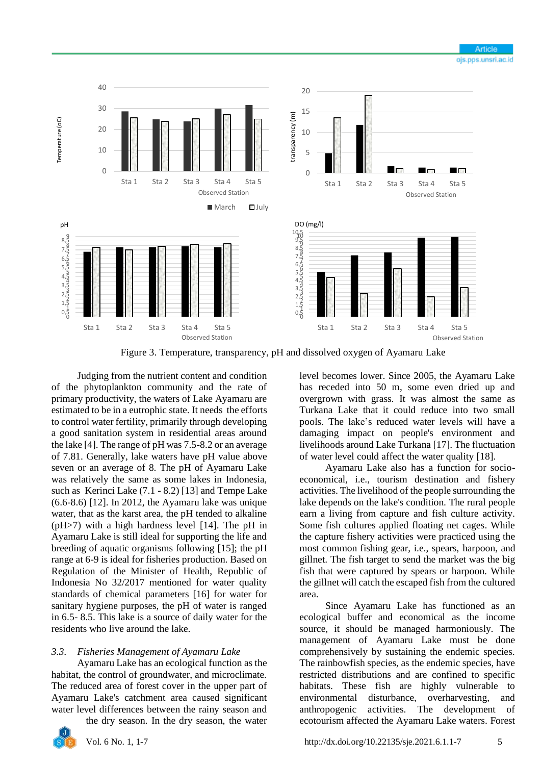

Figure 3. Temperature, transparency, pH and dissolved oxygen of Ayamaru Lake

Judging from the nutrient content and condition of the phytoplankton community and the rate of primary productivity, the waters of Lake Ayamaru are estimated to be in a eutrophic state. It needs the efforts to control water fertility, primarily through developing a good sanitation system in residential areas around the lake [4]. The range of pH was 7.5-8.2 or an average of 7.81. Generally, lake waters have pH value above seven or an average of 8. The pH of Ayamaru Lake was relatively the same as some lakes in Indonesia, such as Kerinci Lake (7.1 - 8.2) [13] and Tempe Lake (6.6-8.6) [12]. In 2012, the Ayamaru lake was unique water, that as the karst area, the pH tended to alkaline (pH>7) with a high hardness level [14]. The pH in Ayamaru Lake is still ideal for supporting the life and breeding of aquatic organisms following [15]; the pH range at 6-9 is ideal for fisheries production. Based on Regulation of the Minister of Health, Republic of Indonesia No 32/2017 mentioned for water quality standards of chemical parameters [16] for water for sanitary hygiene purposes, the pH of water is ranged in 6.5- 8.5. This lake is a source of daily water for the residents who live around the lake.

## *3.3. Fisheries Management of Ayamaru Lake*

Ayamaru Lake has an ecological function as the habitat, the control of groundwater, and microclimate. The reduced area of forest cover in the upper part of Ayamaru Lake's catchment area caused significant water level differences between the rainy season and

the dry season. In the dry season, the water



level becomes lower. Since 2005, the Ayamaru Lake has receded into 50 m, some even dried up and overgrown with grass. It was almost the same as Turkana Lake that it could reduce into two small pools. The lake's reduced water levels will have a damaging impact on people's environment and livelihoods around Lake Turkana [17]. The fluctuation of water level could affect the water quality [18].

Ayamaru Lake also has a function for socioeconomical, i.e., tourism destination and fishery activities. The livelihood of the people surrounding the lake depends on the lake's condition. The rural people earn a living from capture and fish culture activity. Some fish cultures applied floating net cages. While the capture fishery activities were practiced using the most common fishing gear, i.e., spears, harpoon, and gillnet. The fish target to send the market was the big fish that were captured by spears or harpoon. While the gillnet will catch the escaped fish from the cultured area.

Since Ayamaru Lake has functioned as an ecological buffer and economical as the income source, it should be managed harmoniously. The management of Ayamaru Lake must be done comprehensively by sustaining the endemic species. The rainbowfish species, as the endemic species, have restricted distributions and are confined to specific habitats. These fish are highly vulnerable to environmental disturbance, overharvesting, and anthropogenic activities. The development of ecotourism affected the Ayamaru Lake waters. Forest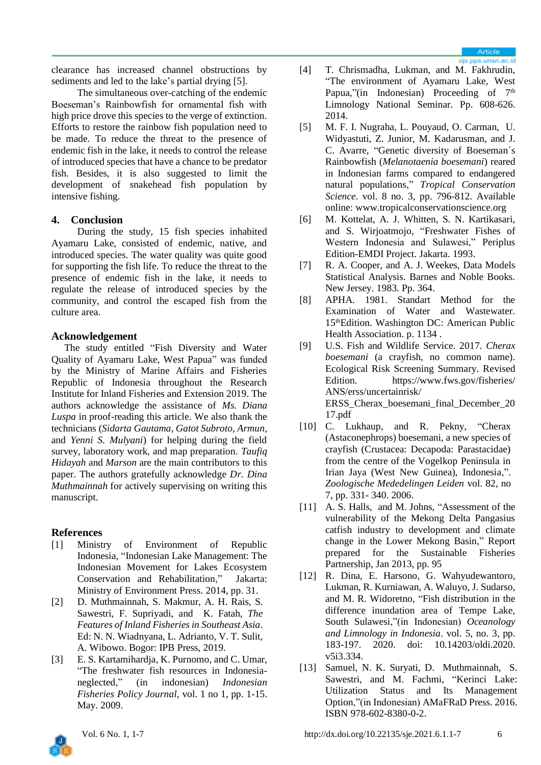clearance has increased channel obstructions by sediments and led to the lake's partial drying [5].

The simultaneous over-catching of the endemic Boeseman's Rainbowfish for ornamental fish with high price drove this species to the verge of extinction. Efforts to restore the rainbow fish population need to be made. To reduce the threat to the presence of endemic fish in the lake, it needs to control the release of introduced species that have a chance to be predator fish. Besides, it is also suggested to limit the development of snakehead fish population by intensive fishing.

## **4. Conclusion**

During the study, 15 fish species inhabited Ayamaru Lake, consisted of endemic, native, and introduced species. The water quality was quite good for supporting the fish life. To reduce the threat to the presence of endemic fish in the lake, it needs to regulate the release of introduced species by the community, and control the escaped fish from the culture area.

## **Acknowledgement**

The study entitled "Fish Diversity and Water Quality of Ayamaru Lake, West Papua" was funded by the Ministry of Marine Affairs and Fisheries Republic of Indonesia throughout the Research Institute for Inland Fisheries and Extension 2019. The authors acknowledge the assistance of *Ms. Diana Luspa* in proof-reading this article. We also thank the technicians (*Sidarta Gautama, Gatot Subroto, Armun*, and *Yenni S. Mulyani*) for helping during the field survey, laboratory work, and map preparation. *Taufiq Hidayah* and *Marson* are the main contributors to this paper. The authors gratefully acknowledge *Dr. Dina Muthmainnah* for actively supervising on writing this manuscript.

# **References**

- [1] Ministry of Environment of Republic Indonesia, "Indonesian Lake Management: The Indonesian Movement for Lakes Ecosystem Conservation and Rehabilitation," Jakarta: Ministry of Environment Press. 2014, pp. 31.
- [2] D. Muthmainnah, S. Makmur, A. H. Rais, S. Sawestri, F. Supriyadi, and K. Fatah, *The Features of Inland Fisheries in Southeast Asia*. Ed: N. N. Wiadnyana, L. Adrianto, V. T. Sulit, A. Wibowo. Bogor: IPB Press, 2019.
- [3] E. S. Kartamihardja, K. Purnomo, and C. Umar, "The freshwater fish resources in Indonesianeglected," (in indonesian) *Indonesian Fisheries Policy Journal,* vol. 1 no 1, pp. 1-15. May. 2009.
- [4] T. Chrismadha, Lukman, and M. Fakhrudin, "The environment of Ayamaru Lake, West Papua,"(in Indonesian) Proceeding of 7<sup>th</sup> Limnology National Seminar. Pp. 608-626. 2014.
- [5] M. F. I. Nugraha, L. Pouyaud, O. Carman, U. Widyastuti, Z. Junior, M. Kadarusman, and J. C. Avarre, "Genetic diversity of Boeseman´s Rainbowfish (*Melanotaenia boesemani*) reared in Indonesian farms compared to endangered natural populations," *Tropical Conservation Science*. vol. 8 no. 3, pp. 796-812. Available online: www.tropicalconservationscience.org
- [6] M. Kottelat, A. J. Whitten, S. N. Kartikasari, and S. Wirjoatmojo, "Freshwater Fishes of Western Indonesia and Sulawesi," Periplus Edition-EMDI Project. Jakarta. 1993.
- [7] R. A. Cooper, and A. J. Weekes, Data Models Statistical Analysis. Barnes and Noble Books. New Jersey. 1983. Pp. 364.
- [8] APHA. 1981. Standart Method for the Examination of Water and Wastewater. 15<sup>th</sup>Edition. Washington DC: American Public Health Association. p. 1134 .
- [9] U.S. Fish and Wildlife Service. 2017. *Cherax boesemani* (a crayfish, no common name). Ecological Risk Screening Summary. Revised Edition. https://www.fws.gov/fisheries/ ANS/erss/uncertainrisk/ ERSS\_Cherax\_boesemani\_final\_December\_20 17.pdf
- [10] C. Lukhaup, and R. Pekny, "Cherax (Astaconephrops) boesemani, a new species of crayfish (Crustacea: Decapoda: Parastacidae) from the centre of the Vogelkop Peninsula in Irian Jaya (West New Guinea), Indonesia,". *Zoologische Mededelingen Leiden* vol. 82, no 7, pp. 331- 340. 2006.
- [11] A. S. Halls, and M. Johns, "Assessment of the vulnerability of the Mekong Delta Pangasius catfish industry to development and climate change in the Lower Mekong Basin," Report prepared for the Sustainable Fisheries Partnership, Jan 2013, pp. 95
- [12] R. Dina, E. Harsono, G. Wahyudewantoro, Lukman, R. Kurniawan, A. Waluyo, J. Sudarso, and M. R. Widoretno, "Fish distribution in the difference inundation area of Tempe Lake, South Sulawesi,"(in Indonesian) *Oceanology and Limnology in Indonesia*. vol. 5, no. 3, pp. 183-197. 2020. doi: [10.14203/oldi.2020.](http://dx.doi.org/10.14203/oldi.2020.v5i3.334) [v5i3.334.](http://dx.doi.org/10.14203/oldi.2020.v5i3.334)
- [13] Samuel, N. K. Suryati, D. Muthmainnah, S. Sawestri, and M. Fachmi, "Kerinci Lake: Utilization Status and Its Management Option,"(in Indonesian) AMaFRaD Press. 2016. ISBN 978-602-8380-0-2.